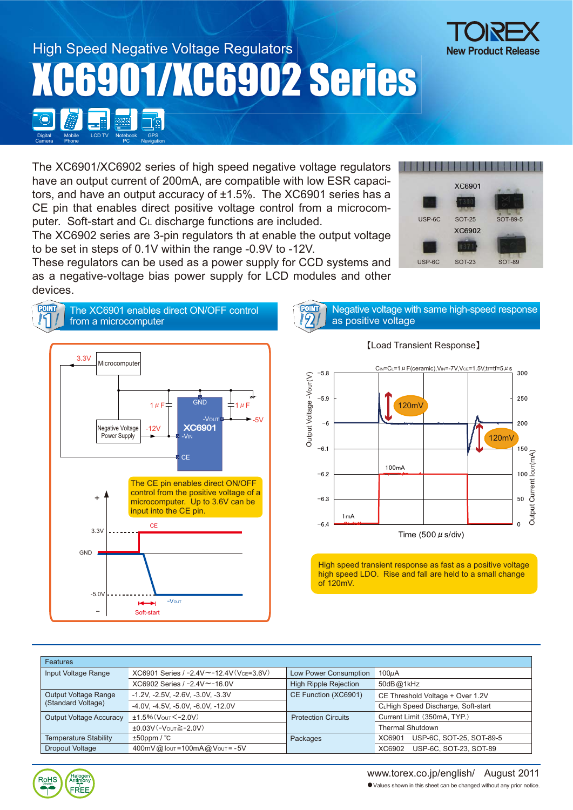

The XC6901/XC6902 series of high speed negative voltage regulators have an output current of 200mA, are compatible with low ESR capacitors, and have an output accuracy of ±1.5%. The XC6901 series has a CE pin that enables direct positive voltage control from a microcomputer. Soft-start and CL discharge functions are included.

The XC6902 series are 3-pin regulators th at enable the output voltage to be set in steps of 0.1V within the range -0.9V to -12V.

These regulators can be used as a power supply for CCD systems and as a negative-voltage bias power supply for LCD modules and other devices.

**FOINT** The XC6901 enables direct ON/OFF control

PC

Phone

Halogen<br>Antimony

FRFF

**RoHS** 

Camera

Navigation





**POINT** Negative voltage with same high-speed response 2 as positive voltage

## 䇼Load Transient Response䇽



High speed transient response as fast as a positive voltage high speed LDO. Rise and fall are held to a small change of 120mV.

| <b>Features</b>                            |                                                 |                              |                                    |
|--------------------------------------------|-------------------------------------------------|------------------------------|------------------------------------|
| Input Voltage Range                        | $XC6901$ Series / $-2.4V \sim -12.4V(VCF=3.6V)$ | Low Power Consumption        | 100 <sub>U</sub> A                 |
|                                            | $XC6902$ Series / $-2.4V \sim -16.0V$           | <b>High Ripple Rejection</b> | 50dB@1kHz                          |
| Output Voltage Range<br>(Standard Voltage) | $-1.2V$ , $-2.5V$ , $-2.6V$ , $-3.0V$ , $-3.3V$ | CE Function (XC6901)         | CE Threshold Voltage + Over 1.2V   |
|                                            | -4.0V, -4.5V, -5.0V, -6.0V, -12.0V              |                              | CLHigh Speed Discharge, Soft-start |
| <b>Output Voltage Accuracy</b>             | $±1.5%$ (Vout $<-2.0V$ )                        | <b>Protection Circuits</b>   | Current Limit (350mA, TYP.)        |
|                                            | $±0.03V(-VOUT ≥ -2.0V)$                         |                              | <b>Thermal Shutdown</b>            |
| <b>Temperature Stability</b>               | $±50$ ppm / $°C$                                | Packages                     | USP-6C, SOT-25, SOT-89-5<br>XC6901 |
| <b>Dropout Voltage</b>                     | 400mV@lout=100mA@Vout=-5V                       |                              | USP-6C, SOT-23, SOT-89<br>XC6902   |